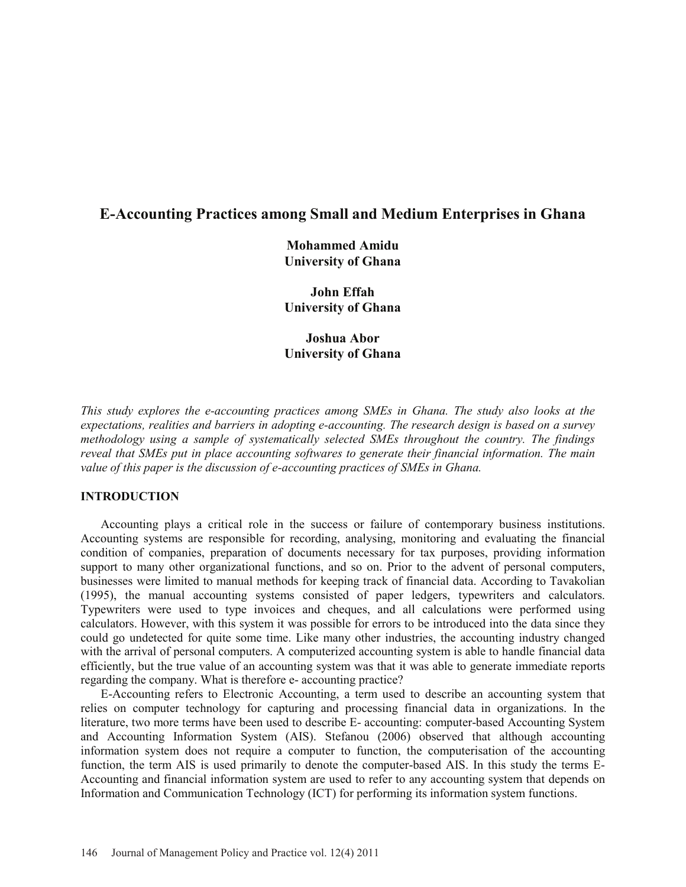# **E-Accounting Practices among Small and Medium Enterprises in Ghana**

**Mohammed Amidu University of Ghana** 

**John Effah University of Ghana** 

**Joshua Abor University of Ghana** 

*This study explores the e-accounting practices among SMEs in Ghana. The study also looks at the expectations, realities and barriers in adopting e-accounting. The research design is based on a survey methodology using a sample of systematically selected SMEs throughout the country. The findings reveal that SMEs put in place accounting softwares to generate their financial information. The main value of this paper is the discussion of e-accounting practices of SMEs in Ghana.* 

### **INTRODUCTION**

 Accounting plays a critical role in the success or failure of contemporary business institutions. Accounting systems are responsible for recording, analysing, monitoring and evaluating the financial condition of companies, preparation of documents necessary for tax purposes, providing information support to many other organizational functions, and so on. Prior to the advent of personal computers, businesses were limited to manual methods for keeping track of financial data. According to Tavakolian (1995), the manual accounting systems consisted of paper ledgers, typewriters and calculators. Typewriters were used to type invoices and cheques, and all calculations were performed using calculators. However, with this system it was possible for errors to be introduced into the data since they could go undetected for quite some time. Like many other industries, the accounting industry changed with the arrival of personal computers. A computerized accounting system is able to handle financial data efficiently, but the true value of an accounting system was that it was able to generate immediate reports regarding the company. What is therefore e- accounting practice?

 E-Accounting refers to Electronic Accounting, a term used to describe an accounting system that relies on computer technology for capturing and processing financial data in organizations. In the literature, two more terms have been used to describe E- accounting: computer-based Accounting System and Accounting Information System (AIS). Stefanou (2006) observed that although accounting information system does not require a computer to function, the computerisation of the accounting function, the term AIS is used primarily to denote the computer-based AIS. In this study the terms E-Accounting and financial information system are used to refer to any accounting system that depends on Information and Communication Technology (ICT) for performing its information system functions.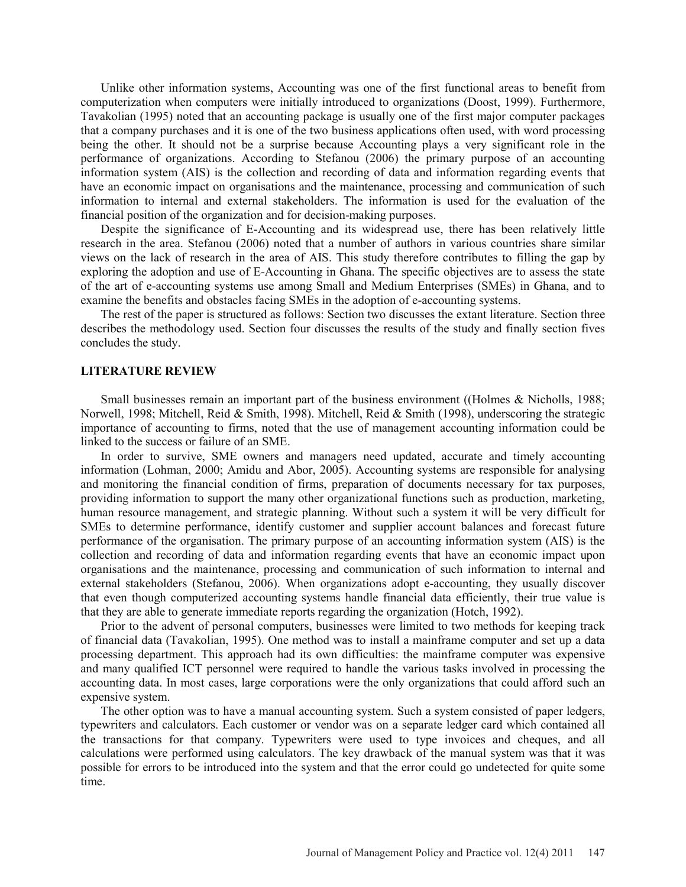Unlike other information systems, Accounting was one of the first functional areas to benefit from computerization when computers were initially introduced to organizations (Doost, 1999). Furthermore, Tavakolian (1995) noted that an accounting package is usually one of the first major computer packages that a company purchases and it is one of the two business applications often used, with word processing being the other. It should not be a surprise because Accounting plays a very significant role in the performance of organizations. According to Stefanou (2006) the primary purpose of an accounting information system (AIS) is the collection and recording of data and information regarding events that have an economic impact on organisations and the maintenance, processing and communication of such information to internal and external stakeholders. The information is used for the evaluation of the financial position of the organization and for decision-making purposes.

 Despite the significance of E-Accounting and its widespread use, there has been relatively little research in the area. Stefanou (2006) noted that a number of authors in various countries share similar views on the lack of research in the area of AIS. This study therefore contributes to filling the gap by exploring the adoption and use of E-Accounting in Ghana. The specific objectives are to assess the state of the art of e-accounting systems use among Small and Medium Enterprises (SMEs) in Ghana, and to examine the benefits and obstacles facing SMEs in the adoption of e-accounting systems.

 The rest of the paper is structured as follows: Section two discusses the extant literature. Section three describes the methodology used. Section four discusses the results of the study and finally section fives concludes the study.

### **LITERATURE REVIEW**

 Small businesses remain an important part of the business environment ((Holmes & Nicholls, 1988; Norwell, 1998; Mitchell, Reid & Smith, 1998). Mitchell, Reid & Smith (1998), underscoring the strategic importance of accounting to firms, noted that the use of management accounting information could be linked to the success or failure of an SME.

 In order to survive, SME owners and managers need updated, accurate and timely accounting information (Lohman, 2000; Amidu and Abor, 2005). Accounting systems are responsible for analysing and monitoring the financial condition of firms, preparation of documents necessary for tax purposes, providing information to support the many other organizational functions such as production, marketing, human resource management, and strategic planning. Without such a system it will be very difficult for SMEs to determine performance, identify customer and supplier account balances and forecast future performance of the organisation. The primary purpose of an accounting information system (AIS) is the collection and recording of data and information regarding events that have an economic impact upon organisations and the maintenance, processing and communication of such information to internal and external stakeholders (Stefanou, 2006). When organizations adopt e-accounting, they usually discover that even though computerized accounting systems handle financial data efficiently, their true value is that they are able to generate immediate reports regarding the organization (Hotch, 1992).

 Prior to the advent of personal computers, businesses were limited to two methods for keeping track of financial data (Tavakolian, 1995). One method was to install a mainframe computer and set up a data processing department. This approach had its own difficulties: the mainframe computer was expensive and many qualified ICT personnel were required to handle the various tasks involved in processing the accounting data. In most cases, large corporations were the only organizations that could afford such an expensive system.

 The other option was to have a manual accounting system. Such a system consisted of paper ledgers, typewriters and calculators. Each customer or vendor was on a separate ledger card which contained all the transactions for that company. Typewriters were used to type invoices and cheques, and all calculations were performed using calculators. The key drawback of the manual system was that it was possible for errors to be introduced into the system and that the error could go undetected for quite some time.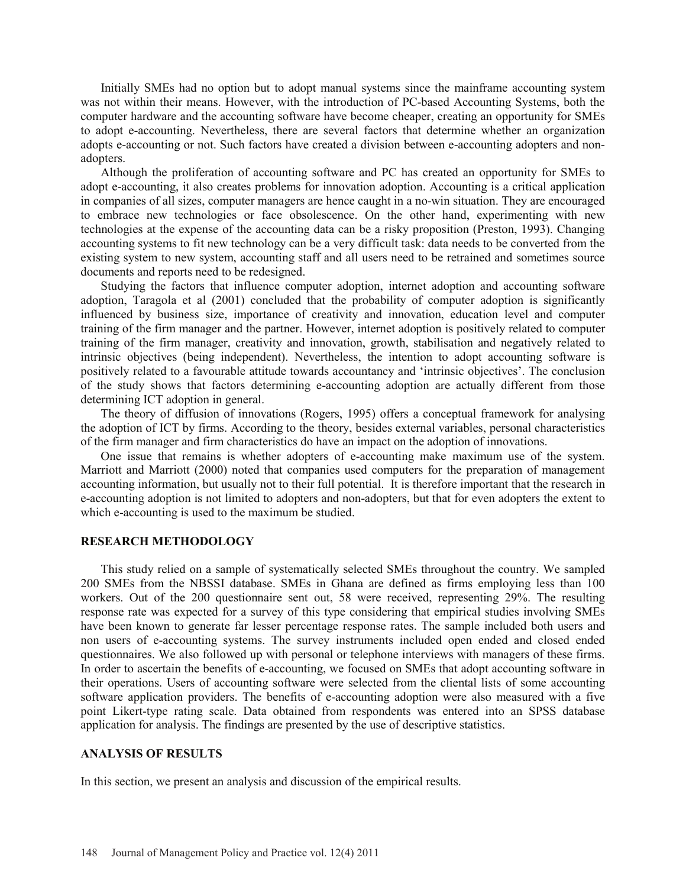Initially SMEs had no option but to adopt manual systems since the mainframe accounting system was not within their means. However, with the introduction of PC-based Accounting Systems, both the computer hardware and the accounting software have become cheaper, creating an opportunity for SMEs to adopt e-accounting. Nevertheless, there are several factors that determine whether an organization adopts e-accounting or not. Such factors have created a division between e-accounting adopters and nonadopters.

 Although the proliferation of accounting software and PC has created an opportunity for SMEs to adopt e-accounting, it also creates problems for innovation adoption. Accounting is a critical application in companies of all sizes, computer managers are hence caught in a no-win situation. They are encouraged to embrace new technologies or face obsolescence. On the other hand, experimenting with new technologies at the expense of the accounting data can be a risky proposition (Preston, 1993). Changing accounting systems to fit new technology can be a very difficult task: data needs to be converted from the existing system to new system, accounting staff and all users need to be retrained and sometimes source documents and reports need to be redesigned.

 Studying the factors that influence computer adoption, internet adoption and accounting software adoption, Taragola et al (2001) concluded that the probability of computer adoption is significantly influenced by business size, importance of creativity and innovation, education level and computer training of the firm manager and the partner. However, internet adoption is positively related to computer training of the firm manager, creativity and innovation, growth, stabilisation and negatively related to intrinsic objectives (being independent). Nevertheless, the intention to adopt accounting software is positively related to a favourable attitude towards accountancy and 'intrinsic objectives'. The conclusion of the study shows that factors determining e-accounting adoption are actually different from those determining ICT adoption in general.

 The theory of diffusion of innovations (Rogers, 1995) offers a conceptual framework for analysing the adoption of ICT by firms. According to the theory, besides external variables, personal characteristics of the firm manager and firm characteristics do have an impact on the adoption of innovations.

 One issue that remains is whether adopters of e-accounting make maximum use of the system. Marriott and Marriott (2000) noted that companies used computers for the preparation of management accounting information, but usually not to their full potential. It is therefore important that the research in e-accounting adoption is not limited to adopters and non-adopters, but that for even adopters the extent to which e-accounting is used to the maximum be studied.

#### **RESEARCH METHODOLOGY**

 This study relied on a sample of systematically selected SMEs throughout the country. We sampled 200 SMEs from the NBSSI database. SMEs in Ghana are defined as firms employing less than 100 workers. Out of the 200 questionnaire sent out, 58 were received, representing 29%. The resulting response rate was expected for a survey of this type considering that empirical studies involving SMEs have been known to generate far lesser percentage response rates. The sample included both users and non users of e-accounting systems. The survey instruments included open ended and closed ended questionnaires. We also followed up with personal or telephone interviews with managers of these firms. In order to ascertain the benefits of e-accounting, we focused on SMEs that adopt accounting software in their operations. Users of accounting software were selected from the cliental lists of some accounting software application providers. The benefits of e-accounting adoption were also measured with a five point Likert-type rating scale. Data obtained from respondents was entered into an SPSS database application for analysis. The findings are presented by the use of descriptive statistics.

#### **ANALYSIS OF RESULTS**

In this section, we present an analysis and discussion of the empirical results.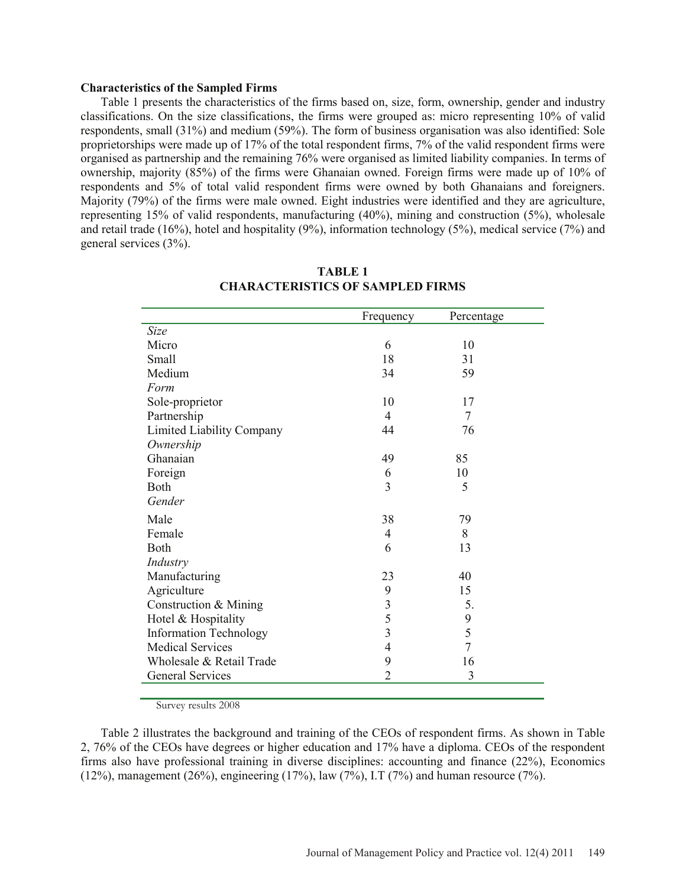#### **Characteristics of the Sampled Firms**

 Table 1 presents the characteristics of the firms based on, size, form, ownership, gender and industry classifications. On the size classifications, the firms were grouped as: micro representing 10% of valid respondents, small (31%) and medium (59%). The form of business organisation was also identified: Sole proprietorships were made up of 17% of the total respondent firms, 7% of the valid respondent firms were organised as partnership and the remaining 76% were organised as limited liability companies. In terms of ownership, majority (85%) of the firms were Ghanaian owned. Foreign firms were made up of 10% of respondents and 5% of total valid respondent firms were owned by both Ghanaians and foreigners. Majority (79%) of the firms were male owned. Eight industries were identified and they are agriculture, representing 15% of valid respondents, manufacturing (40%), mining and construction (5%), wholesale and retail trade (16%), hotel and hospitality (9%), information technology (5%), medical service (7%) and general services (3%).

|                                  | Frequency      | Percentage |
|----------------------------------|----------------|------------|
| Size                             |                |            |
| Micro                            | 6              | 10         |
| Small                            | 18             | 31         |
| Medium                           | 34             | 59         |
| Form                             |                |            |
| Sole-proprietor                  | 10             | 17         |
| Partnership                      | 4              | 7          |
| <b>Limited Liability Company</b> | 44             | 76         |
| Ownership                        |                |            |
| Ghanaian                         | 49             | 85         |
| Foreign                          | 6              | 10         |
| Both                             | $\overline{3}$ | 5          |
| Gender                           |                |            |
| Male                             | 38             | 79         |
| Female                           | 4              | 8          |
| Both                             | 6              | 13         |
| Industry                         |                |            |
| Manufacturing                    | 23             | 40         |
| Agriculture                      | 9              | 15         |
| Construction & Mining            | 3              | 5.         |
| Hotel & Hospitality              | 5              | 9          |
| <b>Information Technology</b>    | 3              | 5          |
| <b>Medical Services</b>          | 4              | 7          |
| Wholesale & Retail Trade         | 9              | 16         |
| <b>General Services</b>          | $\overline{2}$ | 3          |
|                                  |                |            |

**TABLE 1 CHARACTERISTICS OF SAMPLED FIRMS** 

Survey results 2008

 Table 2 illustrates the background and training of the CEOs of respondent firms. As shown in Table 2, 76% of the CEOs have degrees or higher education and 17% have a diploma. CEOs of the respondent firms also have professional training in diverse disciplines: accounting and finance (22%), Economics (12%), management (26%), engineering (17%), law (7%), I.T (7%) and human resource (7%).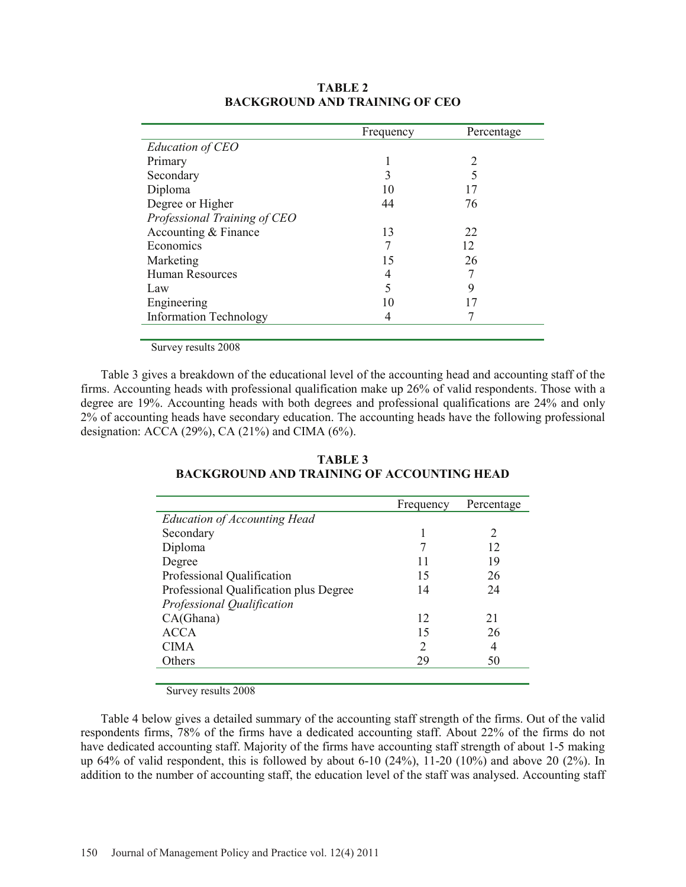|                               | Frequency | Percentage                  |
|-------------------------------|-----------|-----------------------------|
| Education of CEO              |           |                             |
| Primary                       |           | $\mathcal{D}_{\mathcal{A}}$ |
| Secondary                     | 3         |                             |
| Diploma                       | 10        | 17                          |
| Degree or Higher              | 44        | 76                          |
| Professional Training of CEO  |           |                             |
| Accounting & Finance          | 13        | 22                          |
| Economics                     |           | 12                          |
| Marketing                     | 15        | 26                          |
| Human Resources               | 4         |                             |
| Law                           | 5         | 9                           |
| Engineering                   | 10        |                             |
| <b>Information Technology</b> |           |                             |
|                               |           |                             |

### **TABLE 2 BACKGROUND AND TRAINING OF CEO**

Survey results 2008

 Table 3 gives a breakdown of the educational level of the accounting head and accounting staff of the firms. Accounting heads with professional qualification make up 26% of valid respondents. Those with a degree are 19%. Accounting heads with both degrees and professional qualifications are 24% and only 2% of accounting heads have secondary education. The accounting heads have the following professional designation: ACCA (29%), CA (21%) and CIMA (6%).

|                                        | Frequency | Percentage |
|----------------------------------------|-----------|------------|
| <b>Education of Accounting Head</b>    |           |            |
| Secondary                              |           | 2          |
| Diploma                                |           | 12         |
| Degree                                 | 11        | 19         |
| Professional Qualification             | 15        | 26         |
| Professional Qualification plus Degree | 14        | 24         |
| Professional Qualification             |           |            |
| CA(Ghana)                              | 12        | 21         |
| <b>ACCA</b>                            | 15        | 26         |
| <b>CIMA</b>                            | 2         | 4          |
| Others                                 | 29        | 50         |
|                                        |           |            |

**TABLE 3 BACKGROUND AND TRAINING OF ACCOUNTING HEAD** 

Survey results 2008

 Table 4 below gives a detailed summary of the accounting staff strength of the firms. Out of the valid respondents firms, 78% of the firms have a dedicated accounting staff. About 22% of the firms do not have dedicated accounting staff. Majority of the firms have accounting staff strength of about 1-5 making up 64% of valid respondent, this is followed by about 6-10 (24%), 11-20 (10%) and above 20 (2%). In addition to the number of accounting staff, the education level of the staff was analysed. Accounting staff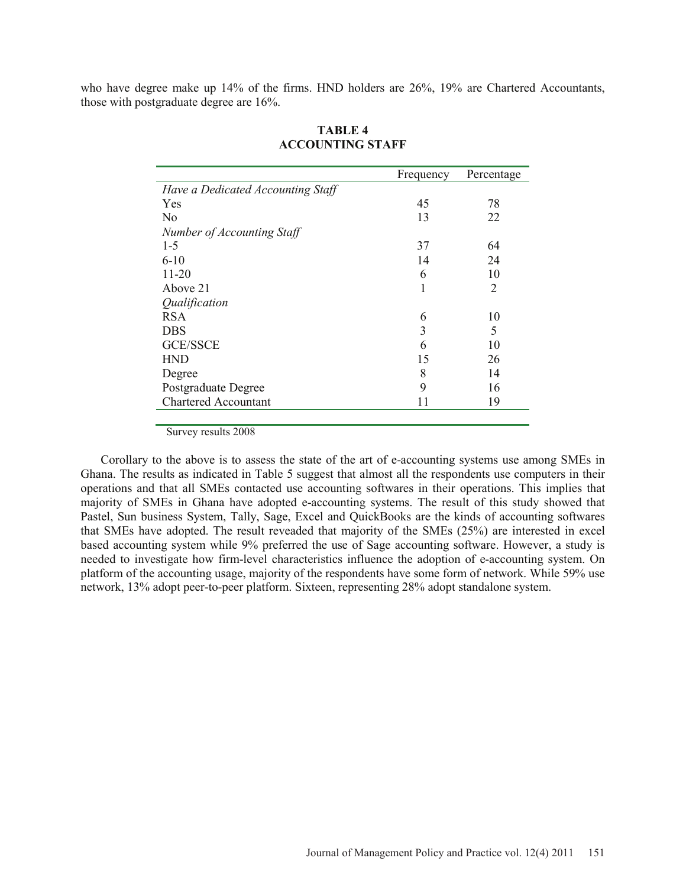who have degree make up 14% of the firms. HND holders are 26%, 19% are Chartered Accountants, those with postgraduate degree are 16%.

|                                   | Frequency | Percentage     |
|-----------------------------------|-----------|----------------|
| Have a Dedicated Accounting Staff |           |                |
| <b>Yes</b>                        | 45        | 78             |
| N <sub>0</sub>                    | 13        | 22             |
| Number of Accounting Staff        |           |                |
| $1 - 5$                           | 37        | 64             |
| $6-10$                            | 14        | 24             |
| $11 - 20$                         | 6         | 10             |
| Above 21                          | 1         | $\overline{2}$ |
| Qualification                     |           |                |
| <b>RSA</b>                        | 6         | 10             |
| <b>DBS</b>                        | 3         | 5              |
| <b>GCE/SSCE</b>                   | 6         | 10             |
| <b>HND</b>                        | 15        | 26             |
| Degree                            | 8         | 14             |
| Postgraduate Degree               | 9         | 16             |
| <b>Chartered Accountant</b>       | 11        | 19             |
|                                   |           |                |

## **TABLE 4 ACCOUNTING STAFF**

Survey results 2008

 Corollary to the above is to assess the state of the art of e-accounting systems use among SMEs in Ghana. The results as indicated in Table 5 suggest that almost all the respondents use computers in their operations and that all SMEs contacted use accounting softwares in their operations. This implies that majority of SMEs in Ghana have adopted e-accounting systems. The result of this study showed that Pastel, Sun business System, Tally, Sage, Excel and QuickBooks are the kinds of accounting softwares that SMEs have adopted. The result reveaded that majority of the SMEs (25%) are interested in excel based accounting system while 9% preferred the use of Sage accounting software. However, a study is needed to investigate how firm-level characteristics influence the adoption of e-accounting system. On platform of the accounting usage, majority of the respondents have some form of network. While 59% use network, 13% adopt peer-to-peer platform. Sixteen, representing 28% adopt standalone system.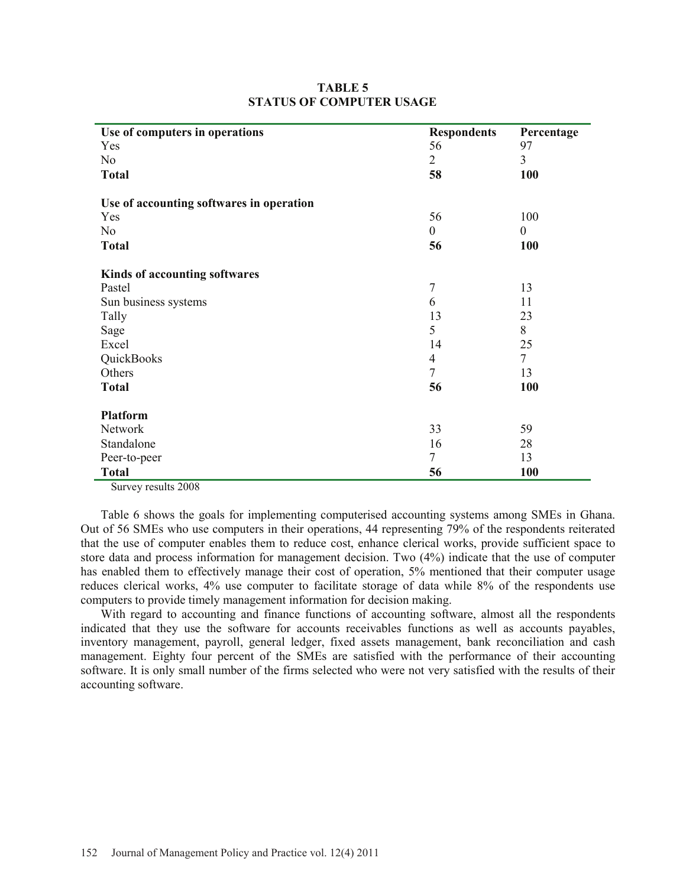| Use of computers in operations           | <b>Respondents</b> | Percentage       |
|------------------------------------------|--------------------|------------------|
| Yes                                      | 56                 | 97               |
| N <sub>o</sub>                           | $\overline{2}$     | $\overline{3}$   |
| <b>Total</b>                             | 58                 | <b>100</b>       |
| Use of accounting softwares in operation |                    |                  |
| Yes                                      | 56                 | 100              |
| N <sub>o</sub>                           | $\theta$           | $\boldsymbol{0}$ |
| <b>Total</b>                             | 56                 | 100              |
| Kinds of accounting softwares            |                    |                  |
| Pastel                                   | 7                  | 13               |
| Sun business systems                     | 6                  | 11               |
| Tally                                    | 13                 | 23               |
| Sage                                     | 5                  | 8                |
| Excel                                    | 14                 | 25               |
| QuickBooks                               | 4                  | $\overline{7}$   |
| Others                                   | 7                  | 13               |
| <b>Total</b>                             | 56                 | 100              |
| <b>Platform</b>                          |                    |                  |
| Network                                  | 33                 | 59               |
| Standalone                               | 16                 | 28               |
| Peer-to-peer                             | $\overline{7}$     | 13               |
| <b>Total</b>                             | 56                 | 100              |

### **TABLE 5 STATUS OF COMPUTER USAGE**

Survey results 2008

 Table 6 shows the goals for implementing computerised accounting systems among SMEs in Ghana. Out of 56 SMEs who use computers in their operations, 44 representing 79% of the respondents reiterated that the use of computer enables them to reduce cost, enhance clerical works, provide sufficient space to store data and process information for management decision. Two (4%) indicate that the use of computer has enabled them to effectively manage their cost of operation, 5% mentioned that their computer usage reduces clerical works, 4% use computer to facilitate storage of data while 8% of the respondents use computers to provide timely management information for decision making.

 With regard to accounting and finance functions of accounting software, almost all the respondents indicated that they use the software for accounts receivables functions as well as accounts payables, inventory management, payroll, general ledger, fixed assets management, bank reconciliation and cash management. Eighty four percent of the SMEs are satisfied with the performance of their accounting software. It is only small number of the firms selected who were not very satisfied with the results of their accounting software.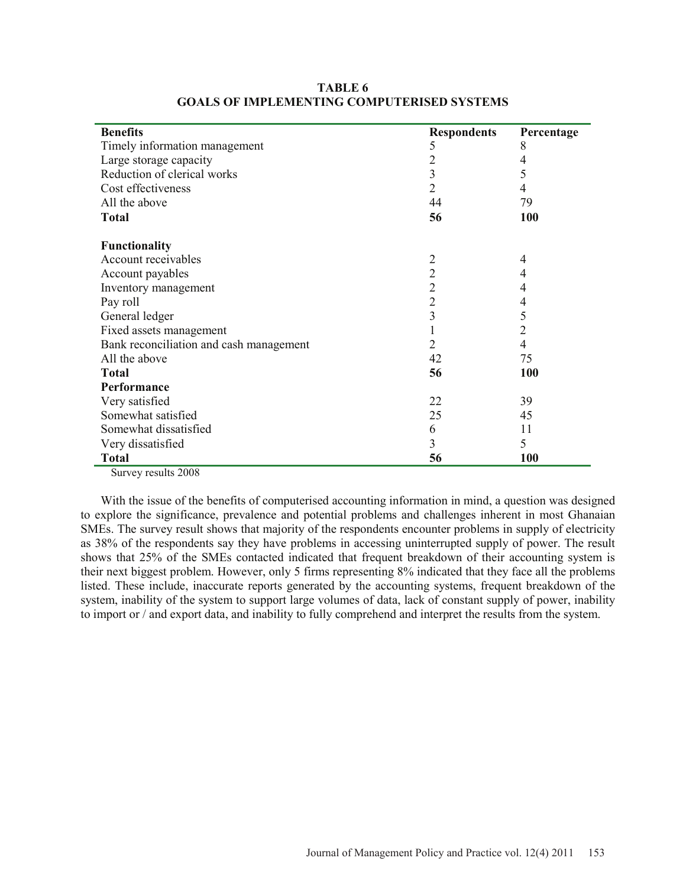| <b>Benefits</b>                         | <b>Respondents</b> | Percentage     |
|-----------------------------------------|--------------------|----------------|
| Timely information management           | 5                  | 8              |
| Large storage capacity                  | 2                  | 4              |
| Reduction of clerical works             | 3                  | 5              |
| Cost effectiveness                      | $\overline{2}$     | 4              |
| All the above                           | 44                 | 79             |
| <b>Total</b>                            | 56                 | 100            |
| <b>Functionality</b>                    |                    |                |
| Account receivables                     | $\overline{2}$     | 4              |
| Account payables                        | $\overline{2}$     | 4              |
| Inventory management                    | $\overline{c}$     | 4              |
| Pay roll                                | $\overline{c}$     | 4              |
| General ledger                          | 3                  | 5              |
| Fixed assets management                 |                    | $\overline{2}$ |
| Bank reconciliation and cash management | 2                  | $\overline{4}$ |
| All the above                           | 42                 | 75             |
| <b>Total</b>                            | 56                 | 100            |
| <b>Performance</b>                      |                    |                |
| Very satisfied                          | 22                 | 39             |
| Somewhat satisfied                      | 25                 | 45             |
| Somewhat dissatisfied                   | 6                  | 11             |
| Very dissatisfied                       | 3                  | 5              |
| <b>Total</b>                            | 56                 | 100            |

### **TABLE 6 GOALS OF IMPLEMENTING COMPUTERISED SYSTEMS**

Survey results 2008

 With the issue of the benefits of computerised accounting information in mind, a question was designed to explore the significance, prevalence and potential problems and challenges inherent in most Ghanaian SMEs. The survey result shows that majority of the respondents encounter problems in supply of electricity as 38% of the respondents say they have problems in accessing uninterrupted supply of power. The result shows that 25% of the SMEs contacted indicated that frequent breakdown of their accounting system is their next biggest problem. However, only 5 firms representing 8% indicated that they face all the problems listed. These include, inaccurate reports generated by the accounting systems, frequent breakdown of the system, inability of the system to support large volumes of data, lack of constant supply of power, inability to import or / and export data, and inability to fully comprehend and interpret the results from the system.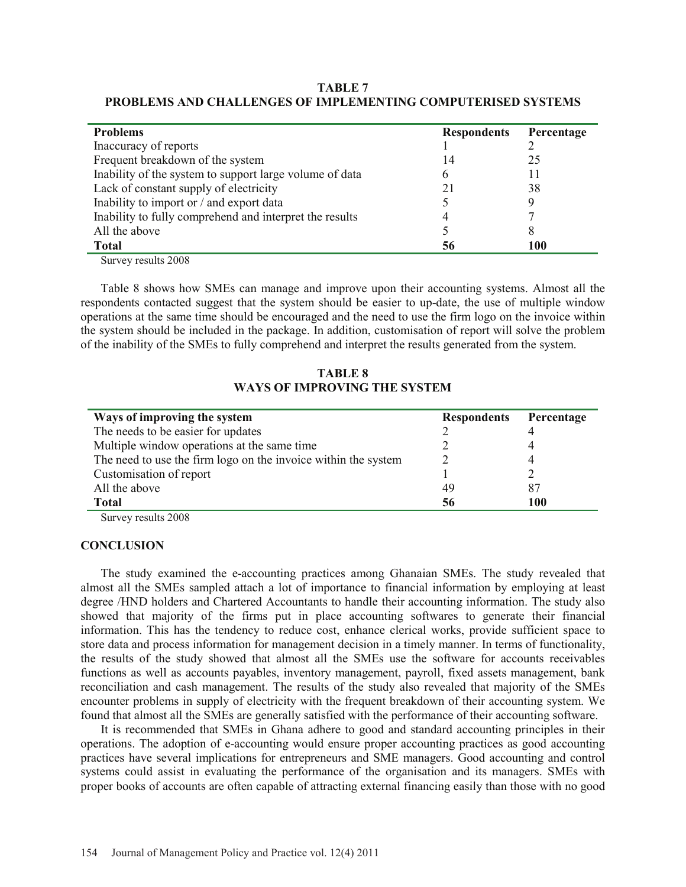| TABLE 7                                                      |  |
|--------------------------------------------------------------|--|
| PROBLEMS AND CHALLENGES OF IMPLEMENTING COMPUTERISED SYSTEMS |  |

| <b>Problems</b>                                         | <b>Respondents</b> | Percentage |
|---------------------------------------------------------|--------------------|------------|
| Inaccuracy of reports                                   |                    |            |
| Frequent breakdown of the system                        | 14                 | 25         |
| Inability of the system to support large volume of data | 6                  | 11         |
| Lack of constant supply of electricity                  | 21                 | 38         |
| Inability to import or / and export data                |                    |            |
| Inability to fully comprehend and interpret the results | 4                  |            |
| All the above                                           |                    |            |
| <b>Total</b>                                            | 56                 | 100        |

Survey results 2008

 Table 8 shows how SMEs can manage and improve upon their accounting systems. Almost all the respondents contacted suggest that the system should be easier to up-date, the use of multiple window operations at the same time should be encouraged and the need to use the firm logo on the invoice within the system should be included in the package. In addition, customisation of report will solve the problem of the inability of the SMEs to fully comprehend and interpret the results generated from the system.

**TABLE 8 WAYS OF IMPROVING THE SYSTEM** 

| Ways of improving the system                                   | <b>Respondents</b> | Percentage |
|----------------------------------------------------------------|--------------------|------------|
| The needs to be easier for updates                             |                    |            |
| Multiple window operations at the same time                    |                    |            |
| The need to use the firm logo on the invoice within the system |                    |            |
| Customisation of report                                        |                    |            |
| All the above                                                  | 49                 | 87         |
| <b>Total</b>                                                   | 56                 | 100        |

Survey results 2008

#### **CONCLUSION**

 The study examined the e-accounting practices among Ghanaian SMEs. The study revealed that almost all the SMEs sampled attach a lot of importance to financial information by employing at least degree /HND holders and Chartered Accountants to handle their accounting information. The study also showed that majority of the firms put in place accounting softwares to generate their financial information. This has the tendency to reduce cost, enhance clerical works, provide sufficient space to store data and process information for management decision in a timely manner. In terms of functionality, the results of the study showed that almost all the SMEs use the software for accounts receivables functions as well as accounts payables, inventory management, payroll, fixed assets management, bank reconciliation and cash management. The results of the study also revealed that majority of the SMEs encounter problems in supply of electricity with the frequent breakdown of their accounting system. We found that almost all the SMEs are generally satisfied with the performance of their accounting software.

 It is recommended that SMEs in Ghana adhere to good and standard accounting principles in their operations. The adoption of e-accounting would ensure proper accounting practices as good accounting practices have several implications for entrepreneurs and SME managers. Good accounting and control systems could assist in evaluating the performance of the organisation and its managers. SMEs with proper books of accounts are often capable of attracting external financing easily than those with no good